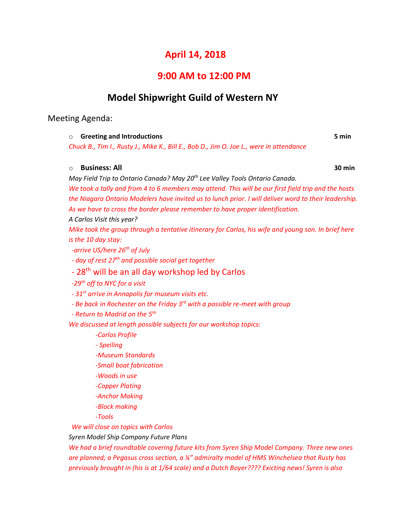# **April 14, 2018**

## **9:00 AM to 12:00 PM**

# **Model Shipwright Guild of Western NY**

## Meeting Agenda:

| $\circ$ Greeting and Introductions                                                      | 5 min |
|-----------------------------------------------------------------------------------------|-------|
| Chuck B., Tim I., Rusty J., Mike K., Bill E., Bob D., Jim O. Joe L., were in attendance |       |
|                                                                                         |       |

## o **Business: All 30 min**

*May Field Trip to Ontario Canada? May 20th Lee Valley Tools Ontario Canada.*

*We took a tally and from 4 to 6 members may attend. This will be our first field trip and the hosts the Niagara Ontario Modelers have invited us to lunch prior. I will deliver word to their leadership. As we have to cross the border please remember to have proper identification.*

*A Carlos Visit this year?*

*Mike took the group through a tentative itinerary for Carlos, his wife and young son. In brief here is the 10 day stay:*

*-arrive US/here 26th of July*

*- day of rest 27th and possible social get together*

# - 28<sup>th</sup> will be an all day workshop led by Carlos

*-29th off to NYC for a visit*

*- 31st arrive in Annapolis for museum visits etc.*

*- Be back in Rochester on the Friday 3rd with a possible re-meet with group*

*- Return to Madrid on the 5th*

*We discussed at length possible subjects for our workshop topics:*

*-Carlos Profile*

*- Speiling*

*-Museum Standards*

*-Small boat fabrication*

*-Woods in use*

*-Copper Plating*

- *-Anchor Making*
- *-Block making*

*-Tools*

*We will close on topics with Carlos*

*Syren Model Ship Company Future Plans*

*We had a brief roundtable covering future kits from Syren Ship Model Company. Three new ones are planned; a Pegasus cross section, a ¼" admiralty model of HMS Winchelsea that Rusty has previously brought in (his is at 1/64 scale) and a Dutch Boyer???? Exicting news! Syren is also*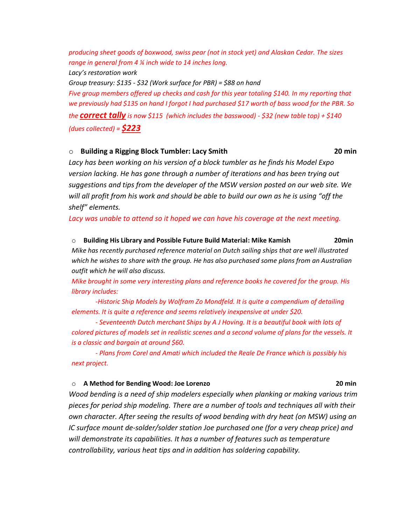*producing sheet goods of boxwood, swiss pear (not in stock yet) and Alaskan Cedar. The sizes range in general from 4 ¼ inch wide to 14 inches long.*

*Lacy's restoration work*

*Group treasury: \$135 - \$32 (Work surface for PBR) = \$88 on hand*

*Five group members offered up checks and cash for this year totaling \$140. In my reporting that we previously had \$135 on hand I forgot I had purchased \$17 worth of bass wood for the PBR. So the correct tally is now \$115 (which includes the basswood) - \$32 (new table top) + \$140 (dues collected) = \$223*

### o **Building a Rigging Block Tumbler: Lacy Smith 20 min**

*Lacy has been working on his version of a block tumbler as he finds his Model Expo version lacking. He has gone through a number of iterations and has been trying out suggestions and tips from the developer of the MSW version posted on our web site. We will all profit from his work and should be able to build our own as he is using "off the shelf" elements.*

*Lacy was unable to attend so it hoped we can have his coverage at the next meeting.*

### o **Building His Library and Possible Future Build Material: Mike Kamish 20min**

*Mike has recently purchased reference material on Dutch sailing ships that are well illustrated which he wishes to share with the group. He has also purchased some plans from an Australian outfit which he will also discuss.*

*Mike brought in some very interesting plans and reference books he covered for the group. His library includes:*

*-Historic Ship Models by Wolfram Zo Mondfeld. It is quite a compendium of detailing elements. It is quite a reference and seems relatively inexpensive at under \$20.*

*- Seventeenth Dutch merchant Ships by A J Hoving. It is a beautiful book with lots of colored pictures of models set in realistic scenes and a second volume of plans for the vessels. It is a classic and bargain at around \$60.*

*- Plans from Corel and Amati which included the Reale De France which is possibly his next project.*

### o **A Method for Bending Wood: Joe Lorenzo 20 min**

*Wood bending is a need of ship modelers especially when planking or making various trim pieces for period ship modeling. There are a number of tools and techniques all with their own character. After seeing the results of wood bending with dry heat (on MSW) using an IC surface mount de-solder/solder station Joe purchased one (for a very cheap price) and will demonstrate its capabilities. It has a number of features such as temperature controllability, various heat tips and in addition has soldering capability.*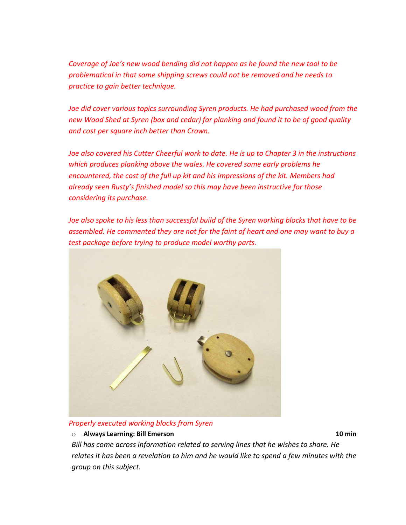*Coverage of Joe's new wood bending did not happen as he found the new tool to be problematical in that some shipping screws could not be removed and he needs to practice to gain better technique.*

*Joe did cover various topics surrounding Syren products. He had purchased wood from the new Wood Shed at Syren (box and cedar) for planking and found it to be of good quality and cost per square inch better than Crown.*

*Joe also covered his Cutter Cheerful work to date. He is up to Chapter 3 in the instructions which produces planking above the wales. He covered some early problems he encountered, the cost of the full up kit and his impressions of the kit. Members had already seen Rusty's finished model so this may have been instructive for those considering its purchase.*

*Joe also spoke to his less than successful build of the Syren working blocks that have to be assembled. He commented they are not for the faint of heart and one may want to buy a test package before trying to produce model worthy parts.*



## *Properly executed working blocks from Syren*

o **Always Learning: Bill Emerson 10 min**

*Bill has come across information related to serving lines that he wishes to share. He relates it has been a revelation to him and he would like to spend a few minutes with the group on this subject.*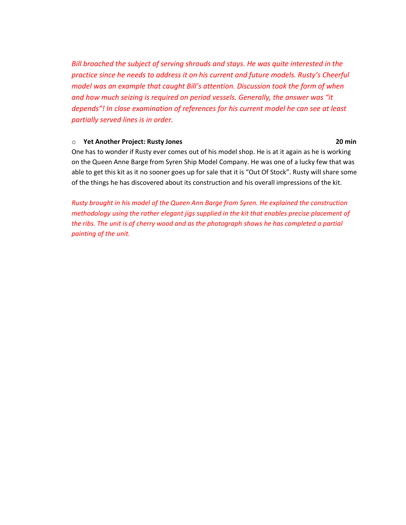*Bill broached the subject of serving shrouds and stays. He was quite interested in the practice since he needs to address it on his current and future models. Rusty's Cheerful model was an example that caught Bill's attention. Discussion took the form of when and how much seizing is required on period vessels. Generally, the answer was "it depends"! In close examination of references for his current model he can see at least partially served lines is in order.*

### o **Yet Another Project: Rusty Jones 20 min**

One has to wonder if Rusty ever comes out of his model shop. He is at it again as he is working on the Queen Anne Barge from Syren Ship Model Company. He was one of a lucky few that was able to get this kit as it no sooner goes up for sale that it is "Out Of Stock". Rusty will share some of the things he has discovered about its construction and his overall impressions of the kit.

*Rusty brought in his model of the Queen Ann Barge from Syren. He explained the construction methodology using the rather elegant jigs supplied in the kit that enables precise placement of the ribs. The unit is of cherry wood and as the photograph shows he has completed a partial painting of the unit.*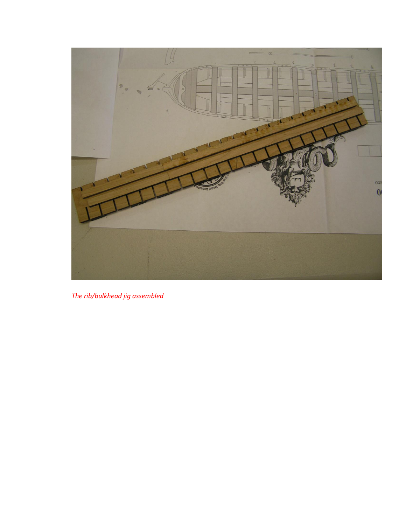

The rib/bulkhead jig assembled